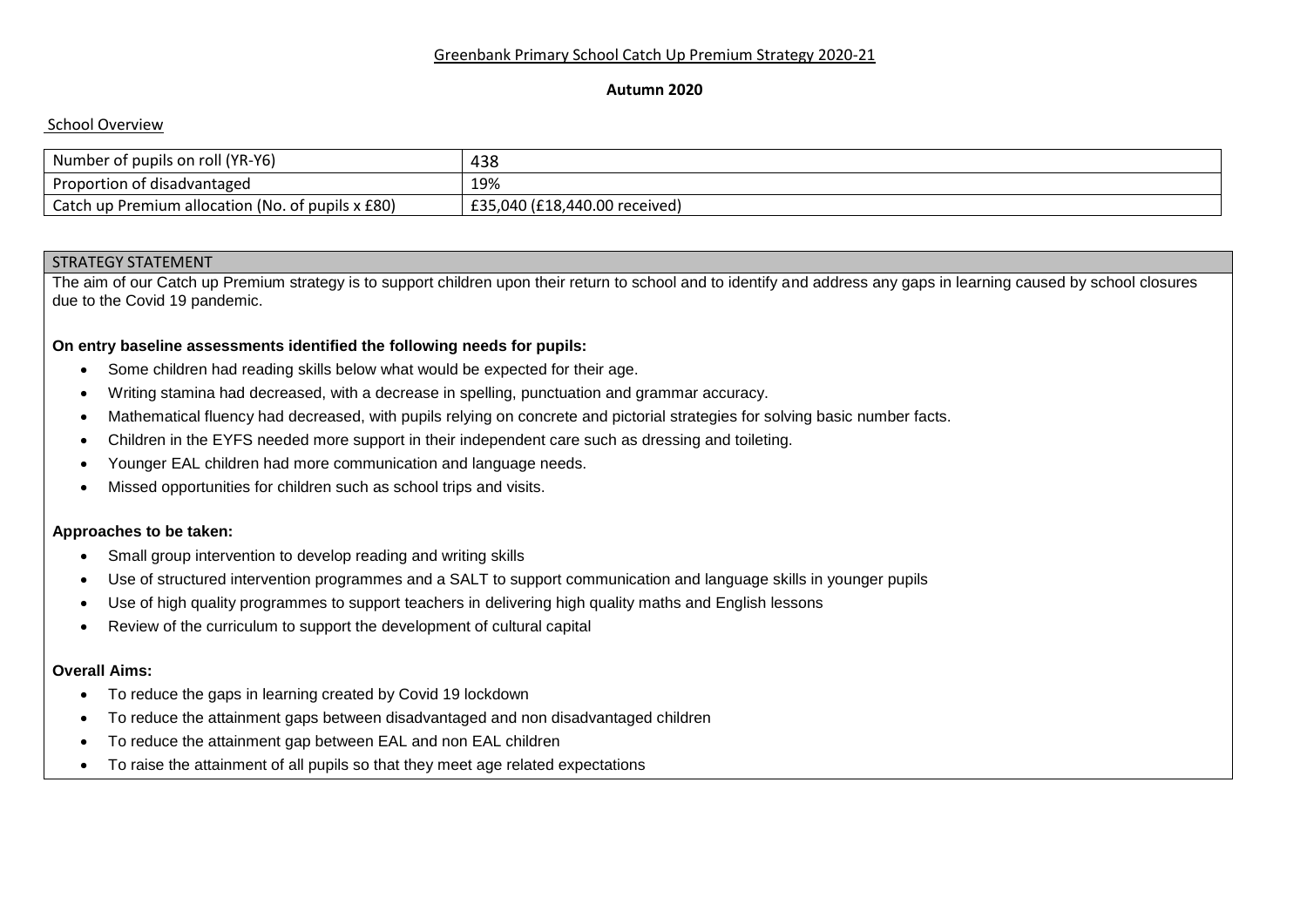#### **Autumn 2020**

# School Overview

| Number of pupils on roll (YR-Y6)                  | 438                           |
|---------------------------------------------------|-------------------------------|
| Proportion of disadvantaged                       | 19%                           |
| Catch up Premium allocation (No. of pupils x £80) | £35,040 (£18,440.00 received) |

## STRATEGY STATEMENT

The aim of our Catch up Premium strategy is to support children upon their return to school and to identify and address any gaps in learning caused by school closures due to the Covid 19 pandemic.

## **On entry baseline assessments identified the following needs for pupils:**

- Some children had reading skills below what would be expected for their age.
- Writing stamina had decreased, with a decrease in spelling, punctuation and grammar accuracy.
- Mathematical fluency had decreased, with pupils relying on concrete and pictorial strategies for solving basic number facts.
- Children in the EYFS needed more support in their independent care such as dressing and toileting.
- Younger EAL children had more communication and language needs.
- Missed opportunities for children such as school trips and visits.

# **Approaches to be taken:**

- Small group intervention to develop reading and writing skills
- Use of structured intervention programmes and a SALT to support communication and language skills in younger pupils
- Use of high quality programmes to support teachers in delivering high quality maths and English lessons
- Review of the curriculum to support the development of cultural capital

#### **Overall Aims:**

- To reduce the gaps in learning created by Covid 19 lockdown
- To reduce the attainment gaps between disadvantaged and non disadvantaged children
- To reduce the attainment gap between EAL and non EAL children
- To raise the attainment of all pupils so that they meet age related expectations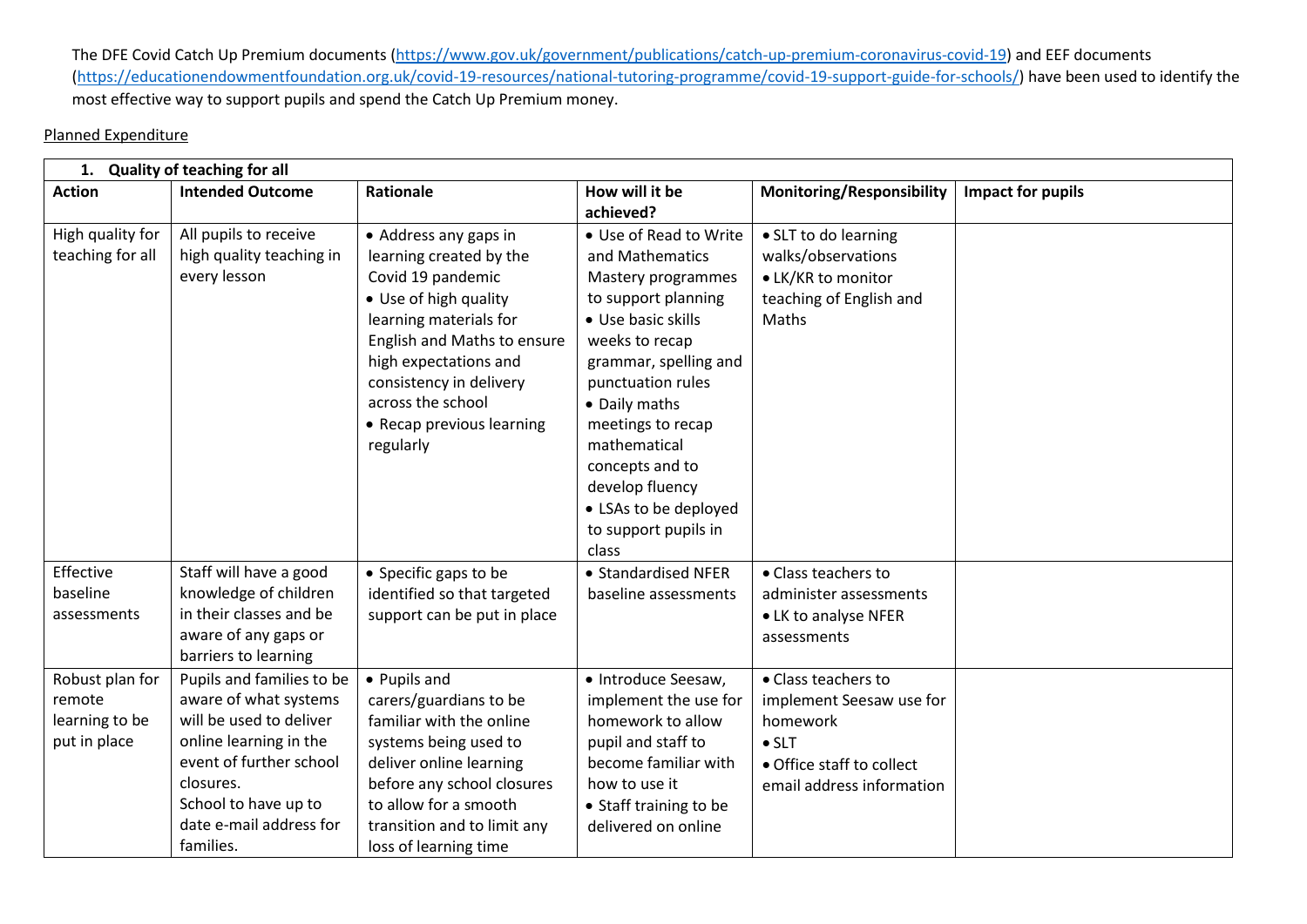The DFE Covid Catch Up Premium documents [\(https://www.gov.uk/government/publications/catch-up-premium-coronavirus-covid-19\)](https://www.gov.uk/government/publications/catch-up-premium-coronavirus-covid-19) and EEF documents [\(https://educationendowmentfoundation.org.uk/covid-19-resources/national-tutoring-programme/covid-19-support-guide-for-schools/\)](https://educationendowmentfoundation.org.uk/covid-19-resources/national-tutoring-programme/covid-19-support-guide-for-schools/) have been used to identify the most effective way to support pupils and spend the Catch Up Premium money.

# Planned Expenditure

| 1. Quality of teaching for all                              |                                                                                                                                                                                                                 |                                                                                                                                                                                                                                                                            |                                                                                                                                                                                                                                                                                                                                    |                                                                                                                                        |                   |
|-------------------------------------------------------------|-----------------------------------------------------------------------------------------------------------------------------------------------------------------------------------------------------------------|----------------------------------------------------------------------------------------------------------------------------------------------------------------------------------------------------------------------------------------------------------------------------|------------------------------------------------------------------------------------------------------------------------------------------------------------------------------------------------------------------------------------------------------------------------------------------------------------------------------------|----------------------------------------------------------------------------------------------------------------------------------------|-------------------|
| <b>Action</b>                                               | <b>Intended Outcome</b>                                                                                                                                                                                         | Rationale                                                                                                                                                                                                                                                                  | How will it be<br>achieved?                                                                                                                                                                                                                                                                                                        | <b>Monitoring/Responsibility</b>                                                                                                       | Impact for pupils |
| High quality for<br>teaching for all                        | All pupils to receive<br>high quality teaching in<br>every lesson                                                                                                                                               | • Address any gaps in<br>learning created by the<br>Covid 19 pandemic<br>• Use of high quality<br>learning materials for<br>English and Maths to ensure<br>high expectations and<br>consistency in delivery<br>across the school<br>• Recap previous learning<br>regularly | • Use of Read to Write<br>and Mathematics<br>Mastery programmes<br>to support planning<br>• Use basic skills<br>weeks to recap<br>grammar, spelling and<br>punctuation rules<br>• Daily maths<br>meetings to recap<br>mathematical<br>concepts and to<br>develop fluency<br>• LSAs to be deployed<br>to support pupils in<br>class | • SLT to do learning<br>walks/observations<br>• LK/KR to monitor<br>teaching of English and<br>Maths                                   |                   |
| Effective<br>baseline<br>assessments                        | Staff will have a good<br>knowledge of children<br>in their classes and be<br>aware of any gaps or<br>barriers to learning                                                                                      | • Specific gaps to be<br>identified so that targeted<br>support can be put in place                                                                                                                                                                                        | • Standardised NFER<br>baseline assessments                                                                                                                                                                                                                                                                                        | • Class teachers to<br>administer assessments<br>• LK to analyse NFER<br>assessments                                                   |                   |
| Robust plan for<br>remote<br>learning to be<br>put in place | Pupils and families to be<br>aware of what systems<br>will be used to deliver<br>online learning in the<br>event of further school<br>closures.<br>School to have up to<br>date e-mail address for<br>families. | • Pupils and<br>carers/guardians to be<br>familiar with the online<br>systems being used to<br>deliver online learning<br>before any school closures<br>to allow for a smooth<br>transition and to limit any<br>loss of learning time                                      | • Introduce Seesaw,<br>implement the use for<br>homework to allow<br>pupil and staff to<br>become familiar with<br>how to use it<br>• Staff training to be<br>delivered on online                                                                                                                                                  | • Class teachers to<br>implement Seesaw use for<br>homework<br>$\bullet$ SLT<br>• Office staff to collect<br>email address information |                   |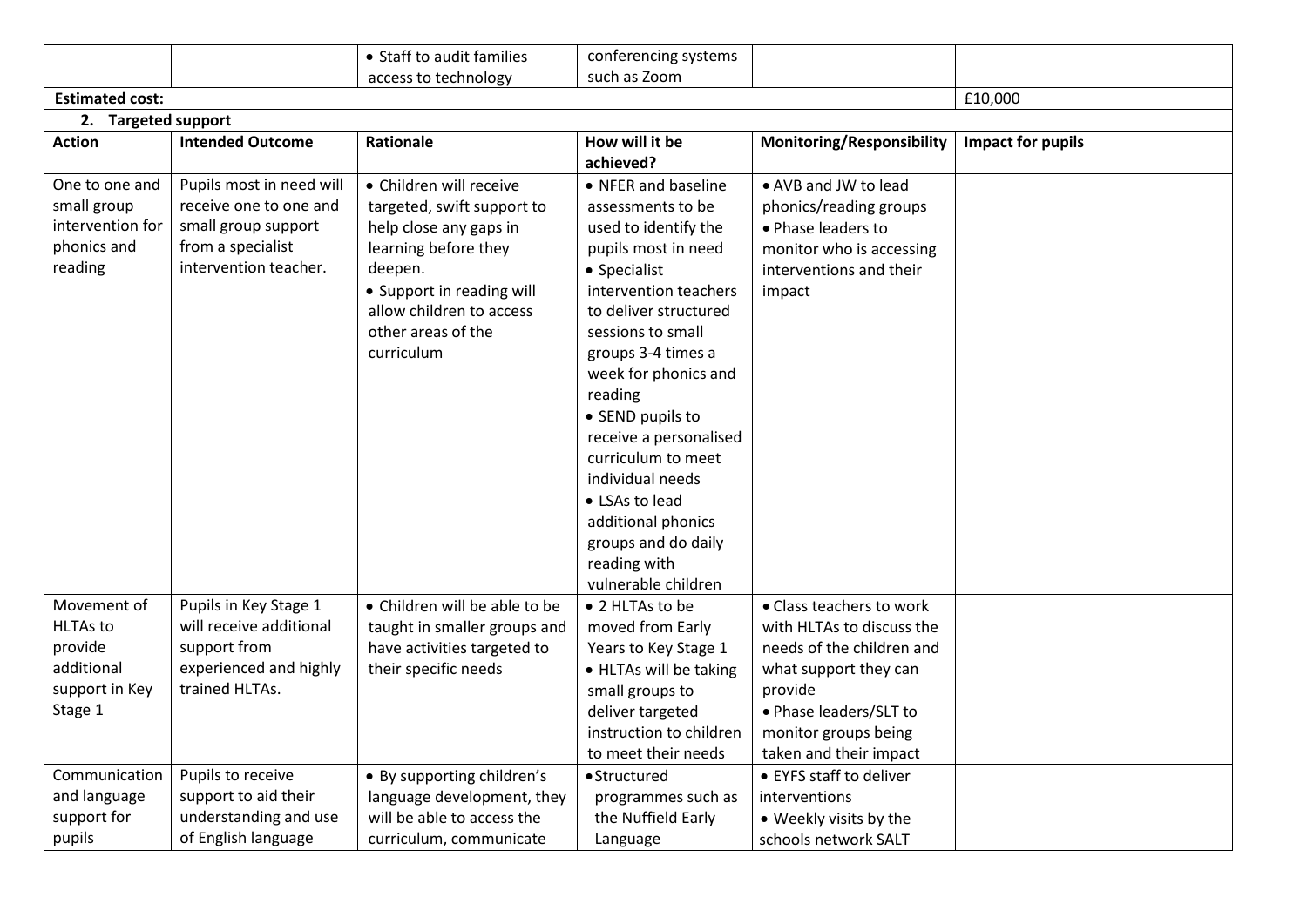|                        |                          | • Staff to audit families     | conferencing systems    |                                  |                          |
|------------------------|--------------------------|-------------------------------|-------------------------|----------------------------------|--------------------------|
|                        |                          | access to technology          | such as Zoom            |                                  |                          |
| <b>Estimated cost:</b> |                          |                               |                         |                                  | £10,000                  |
| 2. Targeted support    |                          |                               |                         |                                  |                          |
| <b>Action</b>          | <b>Intended Outcome</b>  | Rationale                     | How will it be          | <b>Monitoring/Responsibility</b> | <b>Impact for pupils</b> |
|                        |                          |                               | achieved?               |                                  |                          |
| One to one and         | Pupils most in need will | • Children will receive       | • NFER and baseline     | • AVB and JW to lead             |                          |
| small group            | receive one to one and   | targeted, swift support to    | assessments to be       | phonics/reading groups           |                          |
| intervention for       | small group support      | help close any gaps in        | used to identify the    | • Phase leaders to               |                          |
| phonics and            | from a specialist        | learning before they          | pupils most in need     | monitor who is accessing         |                          |
| reading                | intervention teacher.    | deepen.                       | • Specialist            | interventions and their          |                          |
|                        |                          | • Support in reading will     | intervention teachers   | impact                           |                          |
|                        |                          | allow children to access      | to deliver structured   |                                  |                          |
|                        |                          | other areas of the            | sessions to small       |                                  |                          |
|                        |                          | curriculum                    | groups 3-4 times a      |                                  |                          |
|                        |                          |                               | week for phonics and    |                                  |                          |
|                        |                          |                               | reading                 |                                  |                          |
|                        |                          |                               | • SEND pupils to        |                                  |                          |
|                        |                          |                               | receive a personalised  |                                  |                          |
|                        |                          |                               | curriculum to meet      |                                  |                          |
|                        |                          |                               | individual needs        |                                  |                          |
|                        |                          |                               | • LSAs to lead          |                                  |                          |
|                        |                          |                               | additional phonics      |                                  |                          |
|                        |                          |                               | groups and do daily     |                                  |                          |
|                        |                          |                               | reading with            |                                  |                          |
|                        |                          |                               | vulnerable children     |                                  |                          |
| Movement of            | Pupils in Key Stage 1    | • Children will be able to be | • 2 HLTAs to be         | • Class teachers to work         |                          |
| <b>HLTAs to</b>        | will receive additional  | taught in smaller groups and  | moved from Early        | with HLTAs to discuss the        |                          |
| provide                | support from             | have activities targeted to   | Years to Key Stage 1    | needs of the children and        |                          |
| additional             | experienced and highly   | their specific needs          | • HLTAs will be taking  | what support they can            |                          |
| support in Key         | trained HLTAs.           |                               | small groups to         | provide                          |                          |
| Stage 1                |                          |                               | deliver targeted        | • Phase leaders/SLT to           |                          |
|                        |                          |                               | instruction to children | monitor groups being             |                          |
|                        |                          |                               | to meet their needs     | taken and their impact           |                          |
| Communication          | Pupils to receive        | • By supporting children's    | • Structured            | • EYFS staff to deliver          |                          |
| and language           | support to aid their     | language development, they    | programmes such as      | interventions                    |                          |
| support for            | understanding and use    | will be able to access the    | the Nuffield Early      | • Weekly visits by the           |                          |
| pupils                 | of English language      | curriculum, communicate       | Language                | schools network SALT             |                          |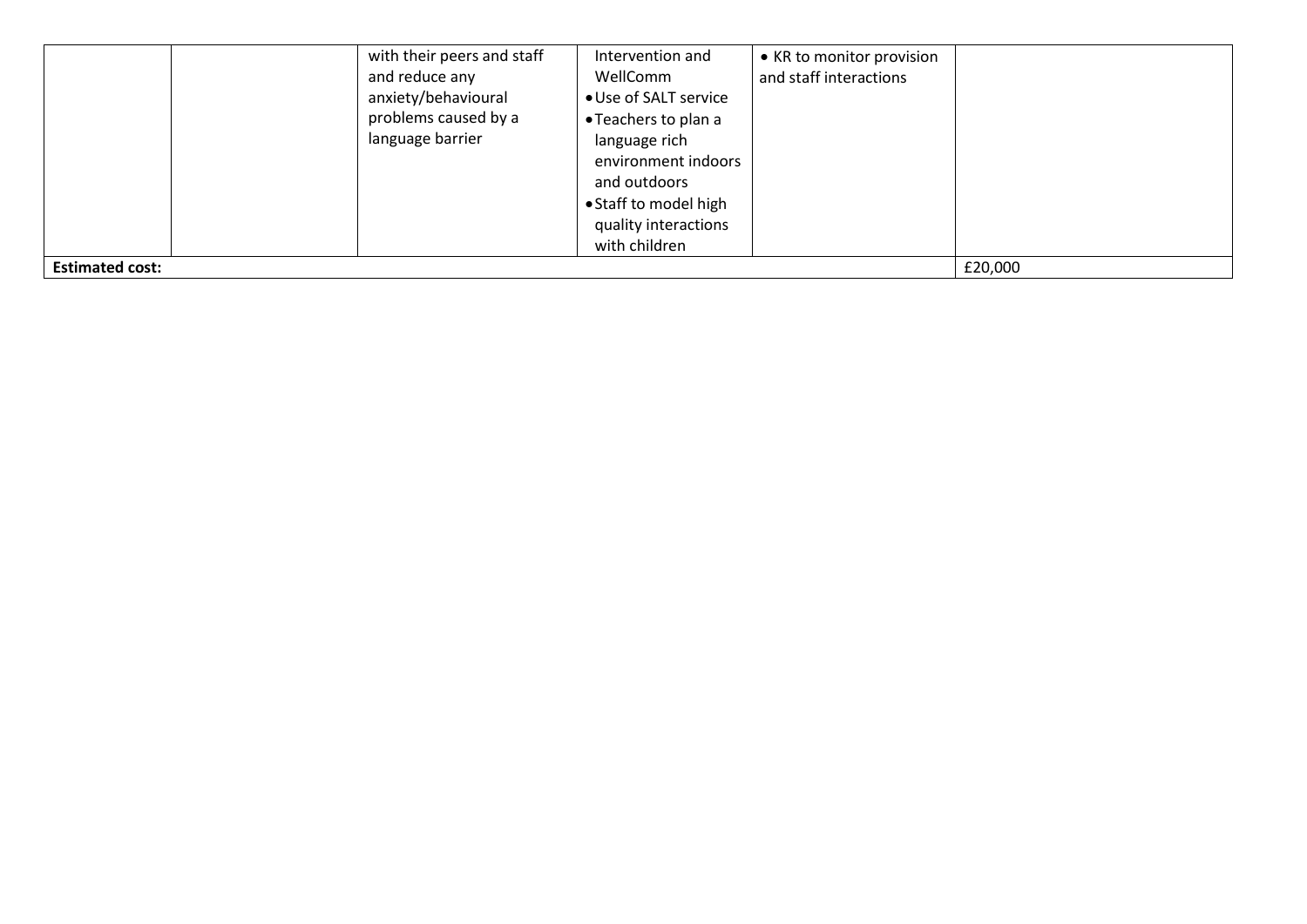|                        | with their peers and staff<br>and reduce any<br>anxiety/behavioural<br>problems caused by a<br>language barrier | Intervention and<br>WellComm<br>• Use of SALT service<br>• Teachers to plan a<br>language rich<br>environment indoors<br>and outdoors<br>• Staff to model high<br>quality interactions<br>with children | • KR to monitor provision<br>and staff interactions |         |
|------------------------|-----------------------------------------------------------------------------------------------------------------|---------------------------------------------------------------------------------------------------------------------------------------------------------------------------------------------------------|-----------------------------------------------------|---------|
| <b>Estimated cost:</b> |                                                                                                                 |                                                                                                                                                                                                         |                                                     | £20,000 |